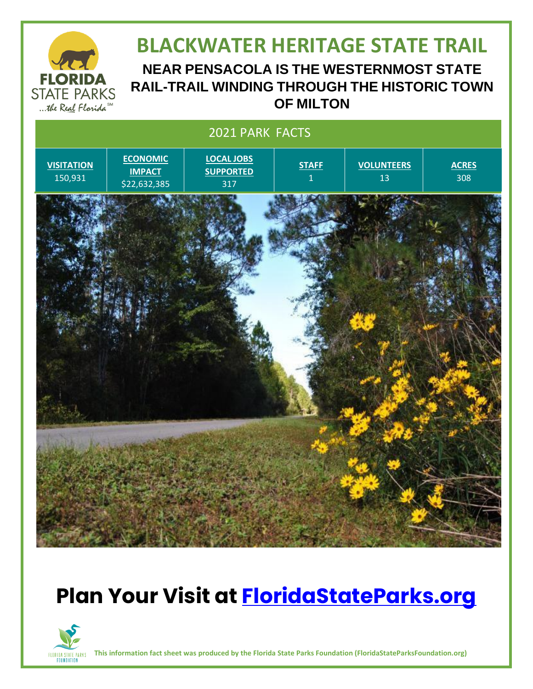

#### **BLACKWATER HERITAGE STATE TRAIL NEAR PENSACOLA IS THE WESTERNMOST STATE RAIL-TRAIL WINDING THROUGH THE HISTORIC TOWN**

**OF MILTON**



# **Plan Your Visit at [FloridaStateParks.org](http://www.floridastateparks.org/)**



**This information fact sheet was produced by the Florida State Parks Foundation (FloridaStateParksFoundation.org)**